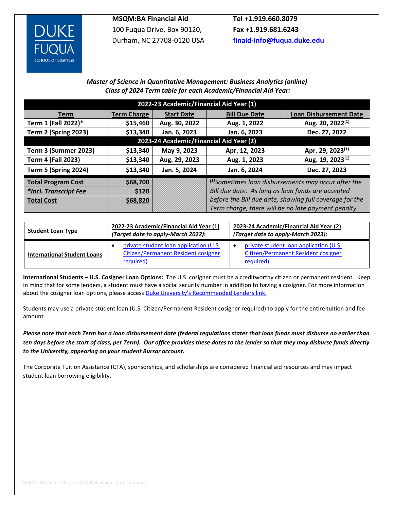

**MSQM:BA Financial Aid**  100 Fuqua Drive, Box 90120, Durham, NC 27708-0120 USA

**Tel +1.919.660.8079 Fax +1.919.681.6243 [finaid-info@fuqua.duke.edu](mailto:finaid-info@fuqua.duke.edu)**

## *Master of Science in Quantitative Management: Business Analytics (online) Class of 2024 Term table for each Academic/Financial Aid Year:*

| 2022-23 Academic/Financial Aid Year (1) |                    |                   |                                                         |                               |  |  |  |  |  |
|-----------------------------------------|--------------------|-------------------|---------------------------------------------------------|-------------------------------|--|--|--|--|--|
| <b>Term</b>                             | <b>Term Charge</b> | <b>Start Date</b> | <b>Bill Due Date</b>                                    | <b>Loan Disbursement Date</b> |  |  |  |  |  |
| Term 1 (Fall 2022)*                     | \$15,460           | Aug. 30, 2022     | Aug. 1, 2022                                            | Aug. 20, 2022 <sup>(1)</sup>  |  |  |  |  |  |
| <b>Term 2 (Spring 2023)</b>             | \$13,340           | Jan. 6, 2023      | Jan. 6, 2023                                            | Dec. 27, 2022                 |  |  |  |  |  |
| 2023-24 Academic/Financial Aid Year (2) |                    |                   |                                                         |                               |  |  |  |  |  |
| <b>Term 3 (Summer 2023)</b>             | \$13,340           | May 9, 2023       | Apr. 12, 2023                                           | Apr. 29, 2023 <sup>(1)</sup>  |  |  |  |  |  |
| <b>Term 4 (Fall 2023)</b>               | \$13,340           | Aug. 29, 2023     | Aug. 1, 2023                                            | Aug. 19, 2023 <sup>(1)</sup>  |  |  |  |  |  |
| <b>Term 5 (Spring 2024)</b>             | \$13,340           | Jan. 5, 2024      | Jan. 6, 2024                                            | Dec. 27, 2023                 |  |  |  |  |  |
| <b>Total Program Cost</b>               | \$68,700           |                   | $(1)$ Sometimes loan disbursements may occur after the  |                               |  |  |  |  |  |
| *Incl. Transcript Fee                   | \$120              |                   | Bill due date. As long as loan funds are accepted       |                               |  |  |  |  |  |
| <b>Total Cost</b>                       | \$68,820           |                   | before the Bill due date, showing full coverage for the |                               |  |  |  |  |  |
|                                         |                    |                   | Term charge, there will be no late payment penalty.     |                               |  |  |  |  |  |

| <b>Student Loan Type</b>           | 2022-23 Academic/Financial Aid Year (1)<br>(Target date to apply-March 2022):              | 2023-24 Academic/Financial Aid Year (2)<br>(Target date to apply-March 2023):              |
|------------------------------------|--------------------------------------------------------------------------------------------|--------------------------------------------------------------------------------------------|
| <b>International Student Loans</b> | private student loan application (U.S.<br>Citizen/Permanent Resident cosigner<br>required) | private student loan application (U.S.<br>Citizen/Permanent Resident cosigner<br>required) |

**International Students – U.S. Cosigner Loan Options:** The U.S. cosigner must be a creditworthy citizen or permanent resident. Keep in mind that for some lenders, a student must have a social security number in addition to having a cosigner. For more information about the cosigner loan options, please access **[Duke University's Recommended Lender](https://financialaid.duke.edu/types-aid/loans/recommended-lenders/)s link:** 

Students may use a private student loan (U.S. Citizen/Permanent Resident cosigner required) to apply for the entire tuition and fee amount.

*Please note that each Term has a loan disbursement date (federal regulations states that loan funds must disburse no earlier than ten days before the start of class, per Term). Our office provides these dates to the lender so that they may disburse funds directly to the University, appearing on your student Bursar account.*

The Corporate Tuition Assistance (CTA), sponsorships, and scholarships are considered financial aid resources and may impact student loan borrowing eligibility.